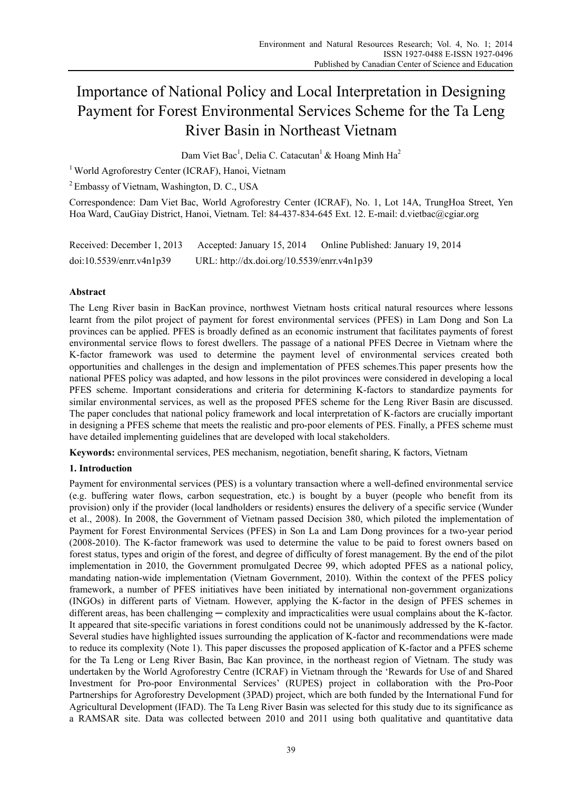# Importance of National Policy and Local Interpretation in Designing Payment for Forest Environmental Services Scheme for the Ta Leng River Basin in Northeast Vietnam

Dam Viet Bac<sup>1</sup>, Delia C. Catacutan<sup>1</sup> & Hoang Minh Ha<sup>2</sup>

<sup>1</sup> World Agroforestry Center (ICRAF), Hanoi, Vietnam

<sup>2</sup> Embassy of Vietnam, Washington, D. C., USA

Correspondence: Dam Viet Bac, World Agroforestry Center (ICRAF), No. 1, Lot 14A, TrungHoa Street, Yen Hoa Ward, CauGiay District, Hanoi, Vietnam. Tel: 84-437-834-645 Ext. 12. E-mail: d.vietbac@cgiar.org

| Received: December 1, 2013 | Accepted: January 15, 2014                  | Online Published: January 19, 2014 |
|----------------------------|---------------------------------------------|------------------------------------|
| doi:10.5539/enrr.v4n1p39   | URL: http://dx.doi.org/10.5539/enrr.v4n1p39 |                                    |

# **Abstract**

The Leng River basin in BacKan province, northwest Vietnam hosts critical natural resources where lessons learnt from the pilot project of payment for forest environmental services (PFES) in Lam Dong and Son La provinces can be applied. PFES is broadly defined as an economic instrument that facilitates payments of forest environmental service flows to forest dwellers. The passage of a national PFES Decree in Vietnam where the K-factor framework was used to determine the payment level of environmental services created both opportunities and challenges in the design and implementation of PFES schemes.This paper presents how the national PFES policy was adapted, and how lessons in the pilot provinces were considered in developing a local PFES scheme. Important considerations and criteria for determining K-factors to standardize payments for similar environmental services, as well as the proposed PFES scheme for the Leng River Basin are discussed. The paper concludes that national policy framework and local interpretation of K-factors are crucially important in designing a PFES scheme that meets the realistic and pro-poor elements of PES. Finally, a PFES scheme must have detailed implementing guidelines that are developed with local stakeholders.

**Keywords:** environmental services, PES mechanism, negotiation, benefit sharing, K factors, Vietnam

# **1. Introduction**

Payment for environmental services (PES) is a voluntary transaction where a well-defined environmental service (e.g. buffering water flows, carbon sequestration, etc.) is bought by a buyer (people who benefit from its provision) only if the provider (local landholders or residents) ensures the delivery of a specific service (Wunder et al., 2008). In 2008, the Government of Vietnam passed Decision 380, which piloted the implementation of Payment for Forest Environmental Services (PFES) in Son La and Lam Dong provinces for a two-year period (2008-2010). The K-factor framework was used to determine the value to be paid to forest owners based on forest status, types and origin of the forest, and degree of difficulty of forest management. By the end of the pilot implementation in 2010, the Government promulgated Decree 99, which adopted PFES as a national policy, mandating nation-wide implementation (Vietnam Government, 2010). Within the context of the PFES policy framework, a number of PFES initiatives have been initiated by international non-government organizations (INGOs) in different parts of Vietnam. However, applying the K-factor in the design of PFES schemes in different areas, has been challenging — complexity and impracticalities were usual complains about the K-factor. It appeared that site-specific variations in forest conditions could not be unanimously addressed by the K-factor. Several studies have highlighted issues surrounding the application of K-factor and recommendations were made to reduce its complexity (Note 1). This paper discusses the proposed application of K-factor and a PFES scheme for the Ta Leng or Leng River Basin, Bac Kan province, in the northeast region of Vietnam. The study was undertaken by the World Agroforestry Centre (ICRAF) in Vietnam through the 'Rewards for Use of and Shared Investment for Pro-poor Environmental Services' (RUPES) project in collaboration with the Pro-Poor Partnerships for Agroforestry Development (3PAD) project, which are both funded by the International Fund for Agricultural Development (IFAD). The Ta Leng River Basin was selected for this study due to its significance as a RAMSAR site. Data was collected between 2010 and 2011 using both qualitative and quantitative data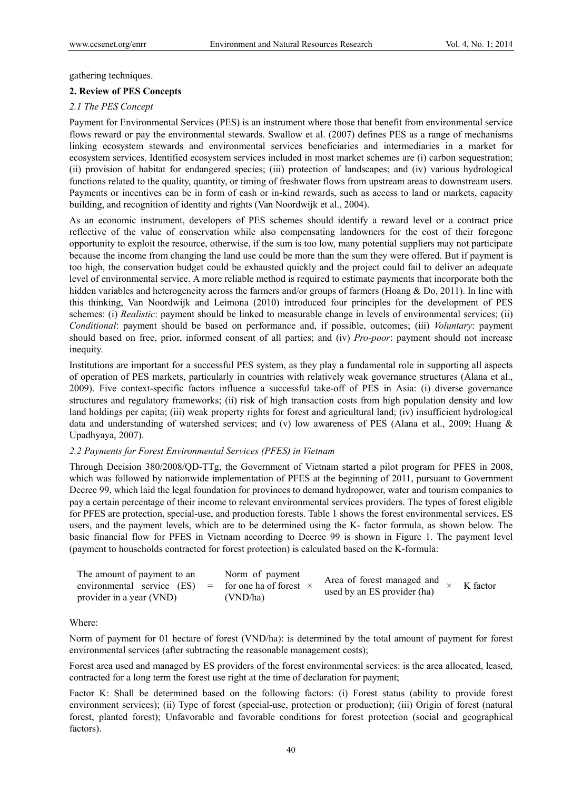gathering techniques.

### **2. Review of PES Concepts**

### *2.1 The PES Concept*

Payment for Environmental Services (PES) is an instrument where those that benefit from environmental service flows reward or pay the environmental stewards. Swallow et al. (2007) defines PES as a range of mechanisms linking ecosystem stewards and environmental services beneficiaries and intermediaries in a market for ecosystem services. Identified ecosystem services included in most market schemes are (i) carbon sequestration; (ii) provision of habitat for endangered species; (iii) protection of landscapes; and (iv) various hydrological functions related to the quality, quantity, or timing of freshwater flows from upstream areas to downstream users. Payments or incentives can be in form of cash or in-kind rewards, such as access to land or markets, capacity building, and recognition of identity and rights (Van Noordwijk et al., 2004).

As an economic instrument, developers of PES schemes should identify a reward level or a contract price reflective of the value of conservation while also compensating landowners for the cost of their foregone opportunity to exploit the resource, otherwise, if the sum is too low, many potential suppliers may not participate because the income from changing the land use could be more than the sum they were offered. But if payment is too high, the conservation budget could be exhausted quickly and the project could fail to deliver an adequate level of environmental service. A more reliable method is required to estimate payments that incorporate both the hidden variables and heterogeneity across the farmers and/or groups of farmers (Hoang & Do, 2011). In line with this thinking, Van Noordwijk and Leimona (2010) introduced four principles for the development of PES schemes: (i) *Realistic*: payment should be linked to measurable change in levels of environmental services; (ii) *Conditional*: payment should be based on performance and, if possible, outcomes; (iii) *Voluntary*: payment should based on free, prior, informed consent of all parties; and (iv) *Pro-poor*: payment should not increase inequity.

Institutions are important for a successful PES system, as they play a fundamental role in supporting all aspects of operation of PES markets, particularly in countries with relatively weak governance structures (Alana et al., 2009). Five context-specific factors influence a successful take-off of PES in Asia: (i) diverse governance structures and regulatory frameworks; (ii) risk of high transaction costs from high population density and low land holdings per capita; (iii) weak property rights for forest and agricultural land; (iv) insufficient hydrological data and understanding of watershed services; and (v) low awareness of PES (Alana et al., 2009; Huang & Upadhyaya, 2007).

# *2.2 Payments for Forest Environmental Services (PFES) in Vietnam*

Through Decision 380/2008/QD-TTg, the Government of Vietnam started a pilot program for PFES in 2008, which was followed by nationwide implementation of PFES at the beginning of 2011, pursuant to Government Decree 99, which laid the legal foundation for provinces to demand hydropower, water and tourism companies to pay a certain percentage of their income to relevant environmental services providers. The types of forest eligible for PFES are protection, special-use, and production forests. Table 1 shows the forest environmental services, ES users, and the payment levels, which are to be determined using the K- factor formula, as shown below. The basic financial flow for PFES in Vietnam according to Decree 99 is shown in Figure 1. The payment level (payment to households contracted for forest protection) is calculated based on the K-formula:

| The amount of payment to an                                | Norm of payment |                                                           |          |
|------------------------------------------------------------|-----------------|-----------------------------------------------------------|----------|
| environmental service (ES) = for one ha of forest $\times$ |                 | Area of forest managed and<br>used by an ES provider (ha) | K factor |
| provider in a year (VND)                                   | (VND/ha)        |                                                           |          |

# Where:

Norm of payment for 01 hectare of forest (VND/ha): is determined by the total amount of payment for forest environmental services (after subtracting the reasonable management costs);

Forest area used and managed by ES providers of the forest environmental services: is the area allocated, leased, contracted for a long term the forest use right at the time of declaration for payment;

Factor K: Shall be determined based on the following factors: (i) Forest status (ability to provide forest environment services); (ii) Type of forest (special-use, protection or production); (iii) Origin of forest (natural forest, planted forest); Unfavorable and favorable conditions for forest protection (social and geographical factors).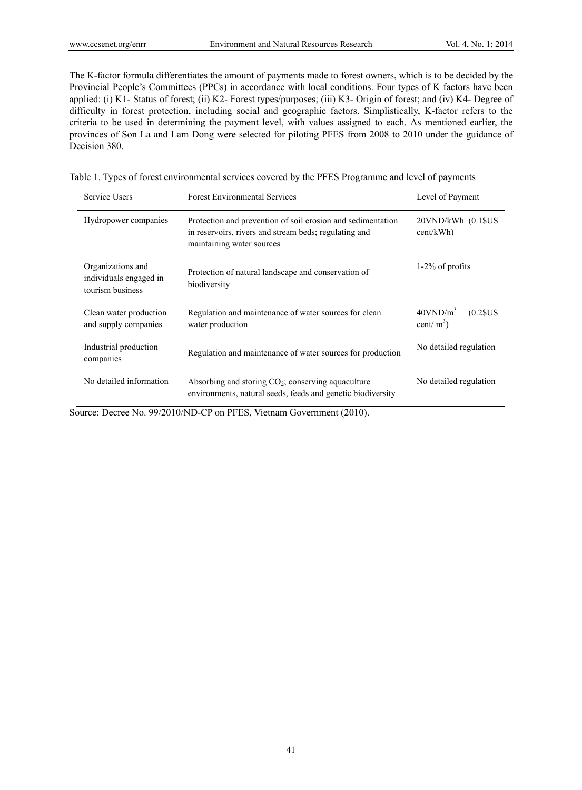The K-factor formula differentiates the amount of payments made to forest owners, which is to be decided by the Provincial People's Committees (PPCs) in accordance with local conditions. Four types of K factors have been applied: (i) K1- Status of forest; (ii) K2- Forest types/purposes; (iii) K3- Origin of forest; and (iv) K4- Degree of difficulty in forest protection, including social and geographic factors. Simplistically, K-factor refers to the criteria to be used in determining the payment level, with values assigned to each. As mentioned earlier, the provinces of Son La and Lam Dong were selected for piloting PFES from 2008 to 2010 under the guidance of Decision 380.

|  | Table 1. Types of forest environmental services covered by the PFES Programme and level of payments |  |  |  |  |
|--|-----------------------------------------------------------------------------------------------------|--|--|--|--|
|  |                                                                                                     |  |  |  |  |

| Service Users                                                   | <b>Forest Environmental Services</b>                                                                                                              | Level of Payment                                      |  |
|-----------------------------------------------------------------|---------------------------------------------------------------------------------------------------------------------------------------------------|-------------------------------------------------------|--|
| Hydropower companies                                            | Protection and prevention of soil erosion and sedimentation<br>in reservoirs, rivers and stream beds; regulating and<br>maintaining water sources | $20VND/kWh$ $(0.1$US)$<br>cent/kWh)                   |  |
| Organizations and<br>individuals engaged in<br>tourism business | Protection of natural landscape and conservation of<br>biodiversity                                                                               | $1-2\%$ of profits                                    |  |
| Clean water production<br>and supply companies                  | Regulation and maintenance of water sources for clean<br>water production                                                                         | $40$ VND/m <sup>3</sup><br>$(0.2$ SUS<br>cent/ $m3$ ) |  |
| Industrial production<br>companies                              | Regulation and maintenance of water sources for production                                                                                        | No detailed regulation                                |  |
| No detailed information                                         | Absorbing and storing $CO2$ ; conserving aquaculture<br>environments, natural seeds, feeds and genetic biodiversity                               | No detailed regulation                                |  |

Source: Decree No. 99/2010/ND-CP on PFES, Vietnam Government (2010).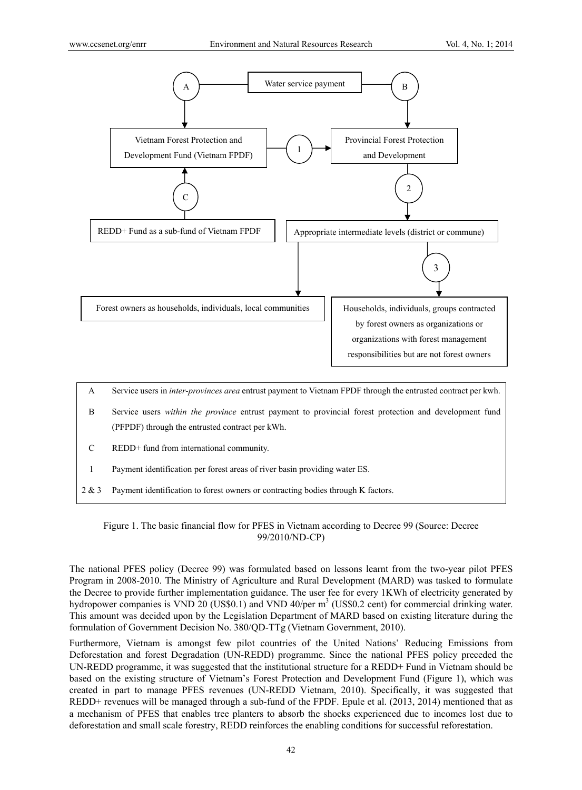

- C REDD+ fund from international community.
- 1 Payment identification per forest areas of river basin providing water ES.
- 2 & 3 Payment identification to forest owners or contracting bodies through K factors.

Figure 1. The basic financial flow for PFES in Vietnam according to Decree 99 (Source: Decree 99/2010/ND-CP)

The national PFES policy (Decree 99) was formulated based on lessons learnt from the two-year pilot PFES Program in 2008-2010. The Ministry of Agriculture and Rural Development (MARD) was tasked to formulate the Decree to provide further implementation guidance. The user fee for every 1KWh of electricity generated by hydropower companies is VND 20 (US\$0.1) and VND 40/per  $m<sup>3</sup>$  (US\$0.2 cent) for commercial drinking water. This amount was decided upon by the Legislation Department of MARD based on existing literature during the formulation of Government Decision No. 380/QD-TTg (Vietnam Government, 2010).

Furthermore, Vietnam is amongst few pilot countries of the United Nations' Reducing Emissions from Deforestation and forest Degradation (UN-REDD) programme. Since the national PFES policy preceded the UN-REDD programme, it was suggested that the institutional structure for a REDD+ Fund in Vietnam should be based on the existing structure of Vietnam's Forest Protection and Development Fund (Figure 1), which was created in part to manage PFES revenues (UN-REDD Vietnam, 2010). Specifically, it was suggested that REDD+ revenues will be managed through a sub-fund of the FPDF. Epule et al. (2013, 2014) mentioned that as a mechanism of PFES that enables tree planters to absorb the shocks experienced due to incomes lost due to deforestation and small scale forestry, REDD reinforces the enabling conditions for successful reforestation.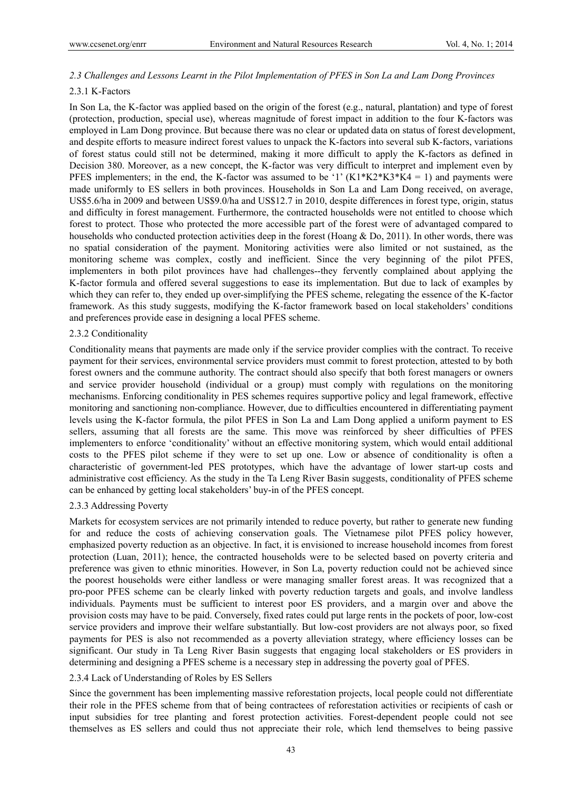# *2.3 Challenges and Lessons Learnt in the Pilot Implementation of PFES in Son La and Lam Dong Provinces*

### 2.3.1 K-Factors

In Son La, the K-factor was applied based on the origin of the forest (e.g., natural, plantation) and type of forest (protection, production, special use), whereas magnitude of forest impact in addition to the four K-factors was employed in Lam Dong province. But because there was no clear or updated data on status of forest development, and despite efforts to measure indirect forest values to unpack the K-factors into several sub K-factors, variations of forest status could still not be determined, making it more difficult to apply the K-factors as defined in Decision 380. Moreover, as a new concept, the K-factor was very difficult to interpret and implement even by PFES implementers; in the end, the K-factor was assumed to be '1'  $(K1*K2*K3*K4 = 1)$  and payments were made uniformly to ES sellers in both provinces. Households in Son La and Lam Dong received, on average, US\$5.6/ha in 2009 and between US\$9.0/ha and US\$12.7 in 2010, despite differences in forest type, origin, status and difficulty in forest management. Furthermore, the contracted households were not entitled to choose which forest to protect. Those who protected the more accessible part of the forest were of advantaged compared to households who conducted protection activities deep in the forest (Hoang & Do, 2011). In other words, there was no spatial consideration of the payment. Monitoring activities were also limited or not sustained, as the monitoring scheme was complex, costly and inefficient. Since the very beginning of the pilot PFES, implementers in both pilot provinces have had challenges--they fervently complained about applying the K-factor formula and offered several suggestions to ease its implementation. But due to lack of examples by which they can refer to, they ended up over-simplifying the PFES scheme, relegating the essence of the K-factor framework. As this study suggests, modifying the K-factor framework based on local stakeholders' conditions and preferences provide ease in designing a local PFES scheme.

### 2.3.2 Conditionality

Conditionality means that payments are made only if the service provider complies with the contract. To receive payment for their services, environmental service providers must commit to forest protection, attested to by both forest owners and the commune authority. The contract should also specify that both forest managers or owners and service provider household (individual or a group) must comply with regulations on the monitoring mechanisms. Enforcing conditionality in PES schemes requires supportive policy and legal framework, effective monitoring and sanctioning non-compliance. However, due to difficulties encountered in differentiating payment levels using the K-factor formula, the pilot PFES in Son La and Lam Dong applied a uniform payment to ES sellers, assuming that all forests are the same. This move was reinforced by sheer difficulties of PFES implementers to enforce 'conditionality' without an effective monitoring system, which would entail additional costs to the PFES pilot scheme if they were to set up one. Low or absence of conditionality is often a characteristic of government-led PES prototypes, which have the advantage of lower start-up costs and administrative cost efficiency. As the study in the Ta Leng River Basin suggests, conditionality of PFES scheme can be enhanced by getting local stakeholders' buy-in of the PFES concept.

### 2.3.3 Addressing Poverty

Markets for ecosystem services are not primarily intended to reduce poverty, but rather to generate new funding for and reduce the costs of achieving conservation goals. The Vietnamese pilot PFES policy however, emphasized poverty reduction as an objective. In fact, it is envisioned to increase household incomes from forest protection (Luan, 2011); hence, the contracted households were to be selected based on poverty criteria and preference was given to ethnic minorities. However, in Son La, poverty reduction could not be achieved since the poorest households were either landless or were managing smaller forest areas. It was recognized that a pro-poor PFES scheme can be clearly linked with poverty reduction targets and goals, and involve landless individuals. Payments must be sufficient to interest poor ES providers, and a margin over and above the provision costs may have to be paid. Conversely, fixed rates could put large rents in the pockets of poor, low-cost service providers and improve their welfare substantially. But low-cost providers are not always poor, so fixed payments for PES is also not recommended as a poverty alleviation strategy, where efficiency losses can be significant. Our study in Ta Leng River Basin suggests that engaging local stakeholders or ES providers in determining and designing a PFES scheme is a necessary step in addressing the poverty goal of PFES.

# 2.3.4 Lack of Understanding of Roles by ES Sellers

Since the government has been implementing massive reforestation projects, local people could not differentiate their role in the PFES scheme from that of being contractees of reforestation activities or recipients of cash or input subsidies for tree planting and forest protection activities. Forest-dependent people could not see themselves as ES sellers and could thus not appreciate their role, which lend themselves to being passive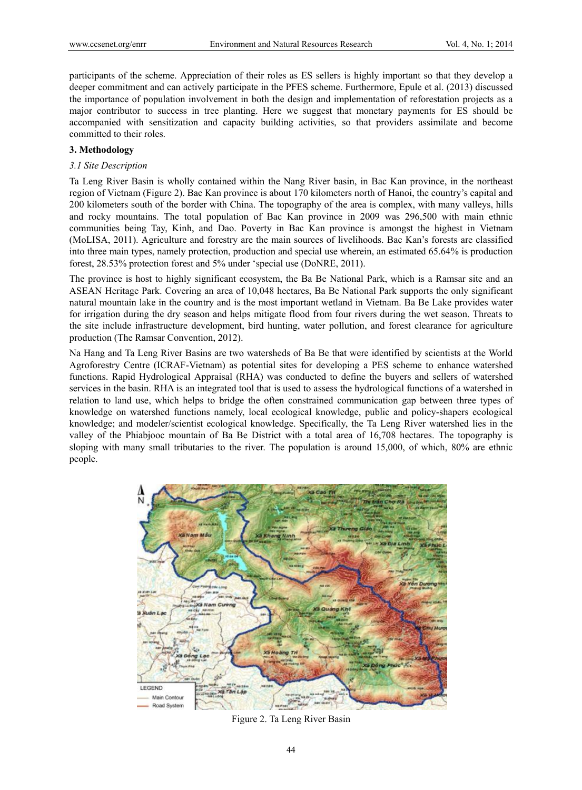participants of the scheme. Appreciation of their roles as ES sellers is highly important so that they develop a deeper commitment and can actively participate in the PFES scheme. Furthermore, Epule et al. (2013) discussed the importance of population involvement in both the design and implementation of reforestation projects as a major contributor to success in tree planting. Here we suggest that monetary payments for ES should be accompanied with sensitization and capacity building activities, so that providers assimilate and become committed to their roles.

# **3. Methodology**

# *3.1 Site Description*

Ta Leng River Basin is wholly contained within the Nang River basin, in Bac Kan province, in the northeast region of Vietnam (Figure 2). Bac Kan province is about 170 kilometers north of Hanoi, the country's capital and 200 kilometers south of the border with China. The topography of the area is complex, with many valleys, hills and rocky mountains. The total population of Bac Kan province in 2009 was 296,500 with main ethnic communities being Tay, Kinh, and Dao. Poverty in Bac Kan province is amongst the highest in Vietnam (MoLISA, 2011). Agriculture and forestry are the main sources of livelihoods. Bac Kan's forests are classified into three main types, namely protection, production and special use wherein, an estimated 65.64% is production forest, 28.53% protection forest and 5% under 'special use (DoNRE, 2011).

The province is host to highly significant ecosystem, the Ba Be National Park, which is a Ramsar site and an ASEAN Heritage Park. Covering an area of 10,048 hectares, Ba Be National Park supports the only significant natural mountain lake in the country and is the most important wetland in Vietnam. Ba Be Lake provides water for irrigation during the dry season and helps mitigate flood from four rivers during the wet season. Threats to the site include infrastructure development, bird hunting, water pollution, and forest clearance for agriculture production (The Ramsar Convention, 2012).

Na Hang and Ta Leng River Basins are two watersheds of Ba Be that were identified by scientists at the World Agroforestry Centre (ICRAF-Vietnam) as potential sites for developing a PES scheme to enhance watershed functions. Rapid Hydrological Appraisal (RHA) was conducted to define the buyers and sellers of watershed services in the basin. RHA is an integrated tool that is used to assess the hydrological functions of a watershed in relation to land use, which helps to bridge the often constrained communication gap between three types of knowledge on watershed functions namely, local ecological knowledge, public and policy-shapers ecological knowledge; and modeler/scientist ecological knowledge. Specifically, the Ta Leng River watershed lies in the valley of the Phiabjooc mountain of Ba Be District with a total area of 16,708 hectares. The topography is sloping with many small tributaries to the river. The population is around 15,000, of which, 80% are ethnic people.



Figure 2. Ta Leng River Basin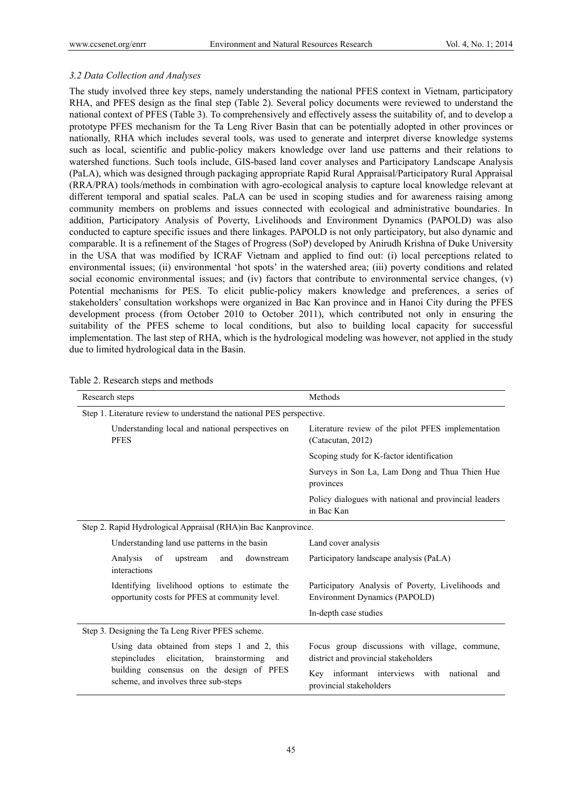### *3.2 Data Collection and Analyses*

The study involved three key steps, namely understanding the national PFES context in Vietnam, participatory RHA, and PFES design as the final step (Table 2). Several policy documents were reviewed to understand the national context of PFES (Table 3). To comprehensively and effectively assess the suitability of, and to develop a prototype PFES mechanism for the Ta Leng River Basin that can be potentially adopted in other provinces or nationally, RHA which includes several tools, was used to generate and interpret diverse knowledge systems such as local, scientific and public-policy makers knowledge over land use patterns and their relations to watershed functions. Such tools include, GIS-based land cover analyses and Participatory Landscape Analysis (PaLA), which was designed through packaging appropriate Rapid Rural Appraisal/Participatory Rural Appraisal (RRA/PRA) tools/methods in combination with agro-ecological analysis to capture local knowledge relevant at different temporal and spatial scales. PaLA can be used in scoping studies and for awareness raising among community members on problems and issues connected with ecological and administrative boundaries. In addition, Participatory Analysis of Poverty, Livelihoods and Environment Dynamics (PAPOLD) was also conducted to capture specific issues and there linkages. PAPOLD is not only participatory, but also dynamic and comparable. It is a refinement of the Stages of Progress (SoP) developed by Anirudh Krishna of Duke University in the USA that was modified by ICRAF Vietnam and applied to find out: (i) local perceptions related to environmental issues; (ii) environmental 'hot spots' in the watershed area; (iii) poverty conditions and related social economic environmental issues; and (iv) factors that contribute to environmental service changes, (v) Potential mechanisms for PES. To elicit public-policy makers knowledge and preferences, a series of stakeholders' consultation workshops were organized in Bac Kan province and in Hanoi City during the PFES development process (from October 2010 to October 2011), which contributed not only in ensuring the suitability of the PFES scheme to local conditions, but also to building local capacity for successful implementation. The last step of RHA, which is the hydrological modeling was however, not applied in the study due to limited hydrological data in the Basin.

| Research steps                                                                                       | Methods                                                                                |  |  |  |  |
|------------------------------------------------------------------------------------------------------|----------------------------------------------------------------------------------------|--|--|--|--|
| Step 1. Literature review to understand the national PES perspective.                                |                                                                                        |  |  |  |  |
| Understanding local and national perspectives on<br><b>PFES</b>                                      | Literature review of the pilot PFES implementation<br>(Catacutan, 2012)                |  |  |  |  |
|                                                                                                      | Scoping study for K-factor identification                                              |  |  |  |  |
|                                                                                                      | Surveys in Son La, Lam Dong and Thua Thien Hue<br>provinces                            |  |  |  |  |
|                                                                                                      | Policy dialogues with national and provincial leaders<br>in Bac Kan                    |  |  |  |  |
| Step 2. Rapid Hydrological Appraisal (RHA)in Bac Kanprovince.                                        |                                                                                        |  |  |  |  |
| Understanding land use patterns in the basin                                                         | Land cover analysis                                                                    |  |  |  |  |
| Analysis<br>downstream<br>of<br>upstream<br>and<br>interactions                                      | Participatory landscape analysis (PaLA)                                                |  |  |  |  |
| Identifying livelihood options to estimate the<br>opportunity costs for PFES at community level.     | Participatory Analysis of Poverty, Livelihoods and<br>Environment Dynamics (PAPOLD)    |  |  |  |  |
|                                                                                                      | In-depth case studies                                                                  |  |  |  |  |
| Step 3. Designing the Ta Leng River PFES scheme.                                                     |                                                                                        |  |  |  |  |
| Using data obtained from steps 1 and 2, this<br>stepincludes<br>elicitation,<br>brainstorming<br>and | Focus group discussions with village, commune,<br>district and provincial stakeholders |  |  |  |  |
| building consensus on the design of PFES<br>scheme, and involves three sub-steps                     | Key informant interviews with<br>national<br>and<br>provincial stakeholders            |  |  |  |  |

Table 2. Research steps and methods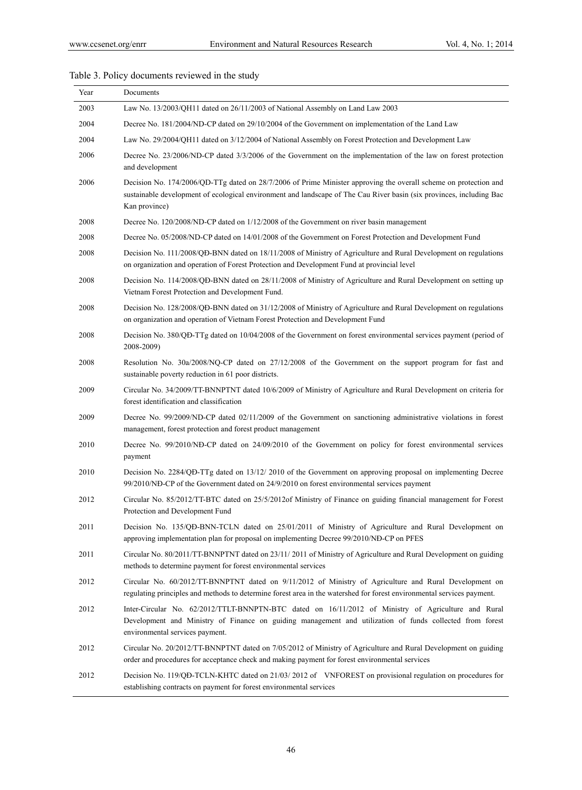# Table 3. Policy documents reviewed in the study

| Year | Documents                                                                                                                                                                                                                                                 |
|------|-----------------------------------------------------------------------------------------------------------------------------------------------------------------------------------------------------------------------------------------------------------|
| 2003 | Law No. 13/2003/QH11 dated on 26/11/2003 of National Assembly on Land Law 2003                                                                                                                                                                            |
| 2004 | Decree No. 181/2004/ND-CP dated on 29/10/2004 of the Government on implementation of the Land Law                                                                                                                                                         |
| 2004 | Law No. 29/2004/QH11 dated on 3/12/2004 of National Assembly on Forest Protection and Development Law                                                                                                                                                     |
| 2006 | Decree No. 23/2006/ND-CP dated 3/3/2006 of the Government on the implementation of the law on forest protection<br>and development                                                                                                                        |
| 2006 | Decision No. 174/2006/QD-TTg dated on 28/7/2006 of Prime Minister approving the overall scheme on protection and<br>sustainable development of ecological environment and landscape of The Cau River basin (six provinces, including Bac<br>Kan province) |
| 2008 | Decree No. 120/2008/ND-CP dated on 1/12/2008 of the Government on river basin management                                                                                                                                                                  |
| 2008 | Decree No. 05/2008/ND-CP dated on 14/01/2008 of the Government on Forest Protection and Development Fund                                                                                                                                                  |
| 2008 | Decision No. 111/2008/QD-BNN dated on 18/11/2008 of Ministry of Agriculture and Rural Development on regulations<br>on organization and operation of Forest Protection and Development Fund at provincial level                                           |
| 2008 | Decision No. 114/2008/QĐ-BNN dated on 28/11/2008 of Ministry of Agriculture and Rural Development on setting up<br>Vietnam Forest Protection and Development Fund.                                                                                        |
| 2008 | Decision No. 128/2008/QĐ-BNN dated on 31/12/2008 of Ministry of Agriculture and Rural Development on regulations<br>on organization and operation of Vietnam Forest Protection and Development Fund                                                       |
| 2008 | Decision No. 380/QD-TTg dated on 10/04/2008 of the Government on forest environmental services payment (period of<br>2008-2009)                                                                                                                           |
| 2008 | Resolution No. 30a/2008/NQ-CP dated on 27/12/2008 of the Government on the support program for fast and<br>sustainable poverty reduction in 61 poor districts.                                                                                            |
| 2009 | Circular No. 34/2009/TT-BNNPTNT dated 10/6/2009 of Ministry of Agriculture and Rural Development on criteria for<br>forest identification and classification                                                                                              |
| 2009 | Decree No. 99/2009/ND-CP dated 02/11/2009 of the Government on sanctioning administrative violations in forest<br>management, forest protection and forest product management                                                                             |
| 2010 | Decree No. 99/2010/NĐ-CP dated on 24/09/2010 of the Government on policy for forest environmental services<br>payment                                                                                                                                     |
| 2010 | Decision No. 2284/QĐ-TTg dated on 13/12/2010 of the Government on approving proposal on implementing Decree<br>99/2010/ND-CP of the Government dated on 24/9/2010 on forest environmental services payment                                                |
| 2012 | Circular No. 85/2012/TT-BTC dated on 25/5/2012 of Ministry of Finance on guiding financial management for Forest<br>Protection and Development Fund                                                                                                       |
| 2011 | Decision No. 135/QĐ-BNN-TCLN dated on 25/01/2011 of Ministry of Agriculture and Rural Development on<br>approving implementation plan for proposal on implementing Decree 99/2010/NĐ-CP on PFES                                                           |
| 2011 | Circular No. 80/2011/TT-BNNPTNT dated on 23/11/2011 of Ministry of Agriculture and Rural Development on guiding<br>methods to determine payment for forest environmental services                                                                         |
| 2012 | Circular No. 60/2012/TT-BNNPTNT dated on 9/11/2012 of Ministry of Agriculture and Rural Development on<br>regulating principles and methods to determine forest area in the watershed for forest environmental services payment.                          |
| 2012 | Inter-Circular No. 62/2012/TTLT-BNNPTN-BTC dated on 16/11/2012 of Ministry of Agriculture and Rural<br>Development and Ministry of Finance on guiding management and utilization of funds collected from forest<br>environmental services payment.        |
| 2012 | Circular No. 20/2012/TT-BNNPTNT dated on 7/05/2012 of Ministry of Agriculture and Rural Development on guiding<br>order and procedures for acceptance check and making payment for forest environmental services                                          |
| 2012 | Decision No. 119/QD-TCLN-KHTC dated on 21/03/2012 of VNFOREST on provisional regulation on procedures for<br>establishing contracts on payment for forest environmental services                                                                          |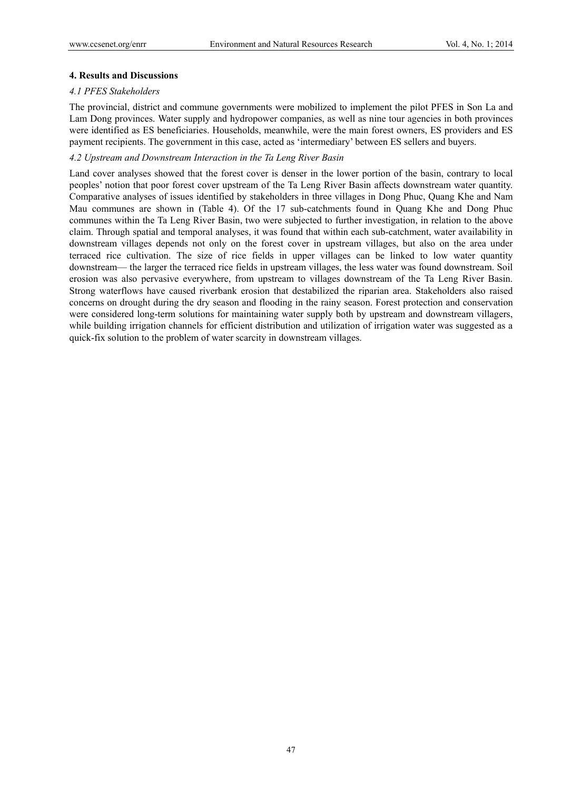### **4. Results and Discussions**

### *4.1 PFES Stakeholders*

The provincial, district and commune governments were mobilized to implement the pilot PFES in Son La and Lam Dong provinces. Water supply and hydropower companies, as well as nine tour agencies in both provinces were identified as ES beneficiaries. Households, meanwhile, were the main forest owners, ES providers and ES payment recipients. The government in this case, acted as 'intermediary' between ES sellers and buyers.

### *4.2 Upstream and Downstream Interaction in the Ta Leng River Basin*

Land cover analyses showed that the forest cover is denser in the lower portion of the basin, contrary to local peoples' notion that poor forest cover upstream of the Ta Leng River Basin affects downstream water quantity. Comparative analyses of issues identified by stakeholders in three villages in Dong Phuc, Quang Khe and Nam Mau communes are shown in (Table 4). Of the 17 sub-catchments found in Quang Khe and Dong Phuc communes within the Ta Leng River Basin, two were subjected to further investigation, in relation to the above claim. Through spatial and temporal analyses, it was found that within each sub-catchment, water availability in downstream villages depends not only on the forest cover in upstream villages, but also on the area under terraced rice cultivation. The size of rice fields in upper villages can be linked to low water quantity downstream— the larger the terraced rice fields in upstream villages, the less water was found downstream. Soil erosion was also pervasive everywhere, from upstream to villages downstream of the Ta Leng River Basin. Strong waterflows have caused riverbank erosion that destabilized the riparian area. Stakeholders also raised concerns on drought during the dry season and flooding in the rainy season. Forest protection and conservation were considered long-term solutions for maintaining water supply both by upstream and downstream villagers, while building irrigation channels for efficient distribution and utilization of irrigation water was suggested as a quick-fix solution to the problem of water scarcity in downstream villages.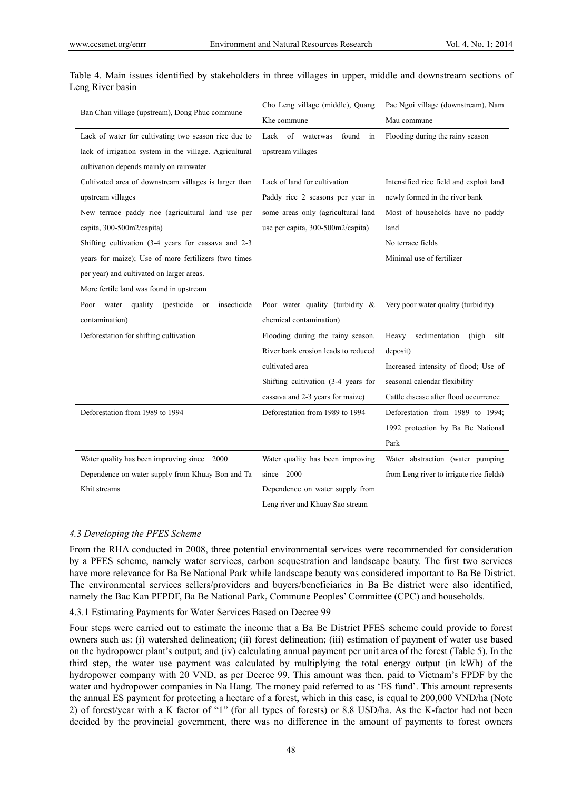|                                                           | Cho Leng village (middle), Quang      | Pac Ngoi village (downstream), Nam       |  |
|-----------------------------------------------------------|---------------------------------------|------------------------------------------|--|
| Ban Chan village (upstream), Dong Phuc commune            | Khe commune                           | Mau commune                              |  |
| Lack of water for cultivating two season rice due to      | Lack<br>of<br>waterwas<br>found<br>in | Flooding during the rainy season         |  |
| lack of irrigation system in the village. Agricultural    | upstream villages                     |                                          |  |
| cultivation depends mainly on rainwater                   |                                       |                                          |  |
| Cultivated area of downstream villages is larger than     | Lack of land for cultivation          | Intensified rice field and exploit land  |  |
| upstream villages                                         | Paddy rice 2 seasons per year in      | newly formed in the river bank           |  |
| New terrace paddy rice (agricultural land use per         | some areas only (agricultural land    | Most of households have no paddy         |  |
| capita, 300-500m2/capita)                                 | use per capita, 300-500m2/capita)     | land                                     |  |
| Shifting cultivation (3-4 years for cassava and 2-3       |                                       | No terrace fields                        |  |
| years for maize); Use of more fertilizers (two times      |                                       | Minimal use of fertilizer                |  |
| per year) and cultivated on larger areas.                 |                                       |                                          |  |
| More fertile land was found in upstream                   |                                       |                                          |  |
| insecticide<br>water quality<br>(pesticide)<br>Poor<br>or | Poor water quality (turbidity &       | Very poor water quality (turbidity)      |  |
| contamination)                                            | chemical contamination)               |                                          |  |
| Deforestation for shifting cultivation                    | Flooding during the rainy season.     | sedimentation<br>Heavy<br>(high<br>silt  |  |
|                                                           | River bank erosion leads to reduced   | deposit)                                 |  |
|                                                           | cultivated area                       | Increased intensity of flood; Use of     |  |
|                                                           | Shifting cultivation (3-4 years for   | seasonal calendar flexibility            |  |
|                                                           | cassava and 2-3 years for maize)      | Cattle disease after flood occurrence    |  |
| Deforestation from 1989 to 1994                           | Deforestation from 1989 to 1994       | Deforestation from 1989 to 1994;         |  |
|                                                           |                                       | 1992 protection by Ba Be National        |  |
|                                                           |                                       | Park                                     |  |
| Water quality has been improving since 2000               | Water quality has been improving      | Water abstraction (water pumping         |  |
| Dependence on water supply from Khuay Bon and Ta          | 2000<br>since                         | from Leng river to irrigate rice fields) |  |
| Khit streams                                              | Dependence on water supply from       |                                          |  |
|                                                           | Leng river and Khuay Sao stream       |                                          |  |

Table 4. Main issues identified by stakeholders in three villages in upper, middle and downstream sections of Leng River basin

### *4.3 Developing the PFES Scheme*

From the RHA conducted in 2008, three potential environmental services were recommended for consideration by a PFES scheme, namely water services, carbon sequestration and landscape beauty. The first two services have more relevance for Ba Be National Park while landscape beauty was considered important to Ba Be District. The environmental services sellers/providers and buyers/beneficiaries in Ba Be district were also identified, namely the Bac Kan PFPDF, Ba Be National Park, Commune Peoples' Committee (CPC) and households.

### 4.3.1 Estimating Payments for Water Services Based on Decree 99

Four steps were carried out to estimate the income that a Ba Be District PFES scheme could provide to forest owners such as: (i) watershed delineation; (ii) forest delineation; (iii) estimation of payment of water use based on the hydropower plant's output; and (iv) calculating annual payment per unit area of the forest (Table 5). In the third step, the water use payment was calculated by multiplying the total energy output (in kWh) of the hydropower company with 20 VND, as per Decree 99, This amount was then, paid to Vietnam's FPDF by the water and hydropower companies in Na Hang. The money paid referred to as 'ES fund'. This amount represents the annual ES payment for protecting a hectare of a forest, which in this case, is equal to 200,000 VND/ha (Note 2) of forest/year with a K factor of "1" (for all types of forests) or 8.8 USD/ha. As the K-factor had not been decided by the provincial government, there was no difference in the amount of payments to forest owners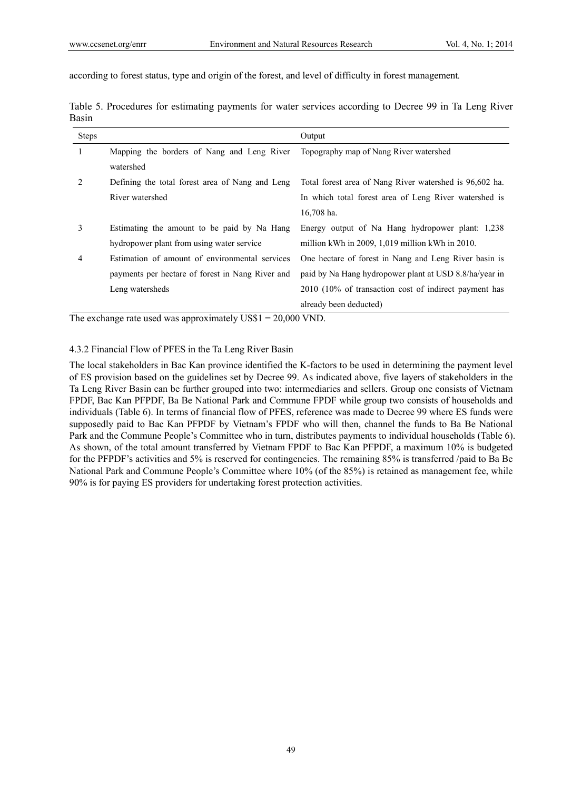according to forest status, type and origin of the forest, and level of difficulty in forest management*.*

| <b>Steps</b>                  |                                                  | Output                                                  |
|-------------------------------|--------------------------------------------------|---------------------------------------------------------|
| 1                             | Mapping the borders of Nang and Leng River       | Topography map of Nang River watershed                  |
|                               | watershed                                        |                                                         |
| $\mathfrak{D}_{\mathfrak{p}}$ | Defining the total forest area of Nang and Leng  | Total forest area of Nang River watershed is 96,602 ha. |
|                               | River watershed                                  | In which total forest area of Leng River watershed is   |
|                               |                                                  | 16,708 ha.                                              |
| 3                             | Estimating the amount to be paid by Na Hang      | Energy output of Na Hang hydropower plant: 1,238        |
|                               | hydropower plant from using water service        | million kWh in $2009$ , 1,019 million kWh in $2010$ .   |
| 4                             | Estimation of amount of environmental services   | One hectare of forest in Nang and Leng River basin is   |
|                               | payments per hectare of forest in Nang River and | paid by Na Hang hydropower plant at USD 8.8/ha/year in  |
|                               | Leng watersheds                                  | 2010 (10% of transaction cost of indirect payment has   |
|                               |                                                  | already been deducted)                                  |

Table 5. Procedures for estimating payments for water services according to Decree 99 in Ta Leng River Basin

The exchange rate used was approximately US\$1 = 20,000 VND.

# 4.3.2 Financial Flow of PFES in the Ta Leng River Basin

The local stakeholders in Bac Kan province identified the K-factors to be used in determining the payment level of ES provision based on the guidelines set by Decree 99. As indicated above, five layers of stakeholders in the Ta Leng River Basin can be further grouped into two: intermediaries and sellers. Group one consists of Vietnam FPDF, Bac Kan PFPDF, Ba Be National Park and Commune FPDF while group two consists of households and individuals (Table 6). In terms of financial flow of PFES, reference was made to Decree 99 where ES funds were supposedly paid to Bac Kan PFPDF by Vietnam's FPDF who will then, channel the funds to Ba Be National Park and the Commune People's Committee who in turn, distributes payments to individual households (Table 6). As shown, of the total amount transferred by Vietnam FPDF to Bac Kan PFPDF, a maximum 10% is budgeted for the PFPDF's activities and 5% is reserved for contingencies. The remaining 85% is transferred /paid to Ba Be National Park and Commune People's Committee where 10% (of the 85%) is retained as management fee, while 90% is for paying ES providers for undertaking forest protection activities.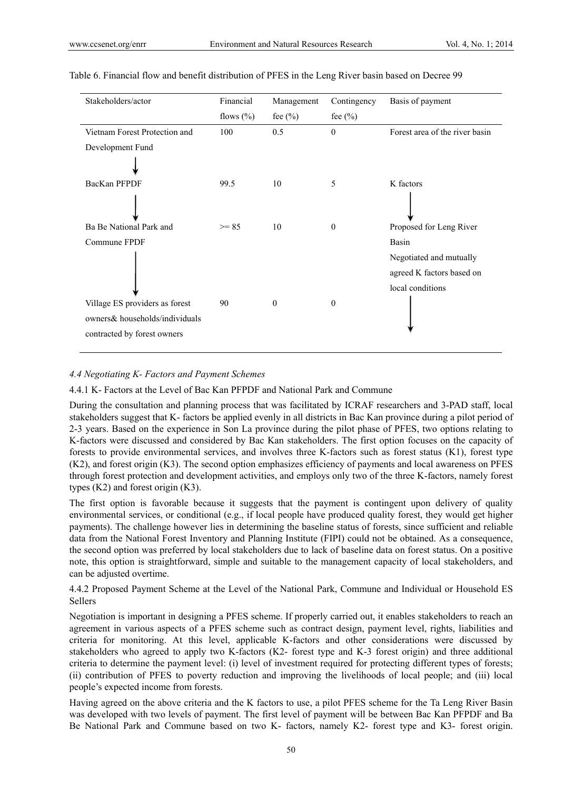| Stakeholders/actor                                                                              | Financial    | Management       | Contingency  | Basis of payment                                                         |
|-------------------------------------------------------------------------------------------------|--------------|------------------|--------------|--------------------------------------------------------------------------|
|                                                                                                 | flows $(\%)$ | fee $(\% )$      | fee $(\% )$  |                                                                          |
| Vietnam Forest Protection and                                                                   | 100          | 0.5              | $\theta$     | Forest area of the river basin                                           |
| Development Fund                                                                                |              |                  |              |                                                                          |
| BacKan PFPDF                                                                                    | 99.5         | 10               | 5            | K factors                                                                |
| Ba Be National Park and                                                                         | $>= 85$      | 10               | $\theta$     | Proposed for Leng River                                                  |
| Commune FPDF                                                                                    |              |                  |              | Basin                                                                    |
|                                                                                                 |              |                  |              | Negotiated and mutually<br>agreed K factors based on<br>local conditions |
| Village ES providers as forest<br>owners& households/individuals<br>contracted by forest owners | 90           | $\boldsymbol{0}$ | $\mathbf{0}$ |                                                                          |

### Table 6. Financial flow and benefit distribution of PFES in the Leng River basin based on Decree 99

# *4.4 Negotiating K- Factors and Payment Schemes*

4.4.1 K- Factors at the Level of Bac Kan PFPDF and National Park and Commune

During the consultation and planning process that was facilitated by ICRAF researchers and 3-PAD staff, local stakeholders suggest that K- factors be applied evenly in all districts in Bac Kan province during a pilot period of 2-3 years. Based on the experience in Son La province during the pilot phase of PFES, two options relating to K-factors were discussed and considered by Bac Kan stakeholders. The first option focuses on the capacity of forests to provide environmental services, and involves three K-factors such as forest status (K1), forest type (K2), and forest origin (K3). The second option emphasizes efficiency of payments and local awareness on PFES through forest protection and development activities, and employs only two of the three K-factors, namely forest types (K2) and forest origin (K3).

The first option is favorable because it suggests that the payment is contingent upon delivery of quality environmental services, or conditional (e.g., if local people have produced quality forest, they would get higher payments). The challenge however lies in determining the baseline status of forests, since sufficient and reliable data from the National Forest Inventory and Planning Institute (FIPI) could not be obtained. As a consequence, the second option was preferred by local stakeholders due to lack of baseline data on forest status. On a positive note, this option is straightforward, simple and suitable to the management capacity of local stakeholders, and can be adjusted overtime.

4.4.2 Proposed Payment Scheme at the Level of the National Park, Commune and Individual or Household ES Sellers

Negotiation is important in designing a PFES scheme. If properly carried out, it enables stakeholders to reach an agreement in various aspects of a PFES scheme such as contract design, payment level, rights, liabilities and criteria for monitoring. At this level, applicable K-factors and other considerations were discussed by stakeholders who agreed to apply two K-factors (K2- forest type and K-3 forest origin) and three additional criteria to determine the payment level: (i) level of investment required for protecting different types of forests; (ii) contribution of PFES to poverty reduction and improving the livelihoods of local people; and (iii) local people's expected income from forests.

Having agreed on the above criteria and the K factors to use, a pilot PFES scheme for the Ta Leng River Basin was developed with two levels of payment. The first level of payment will be between Bac Kan PFPDF and Ba Be National Park and Commune based on two K- factors, namely K2- forest type and K3- forest origin.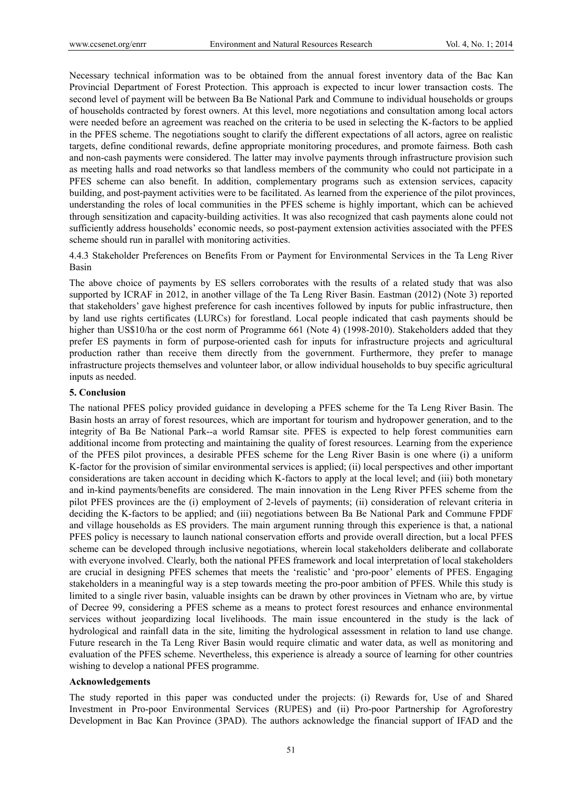Necessary technical information was to be obtained from the annual forest inventory data of the Bac Kan Provincial Department of Forest Protection. This approach is expected to incur lower transaction costs. The second level of payment will be between Ba Be National Park and Commune to individual households or groups of households contracted by forest owners. At this level, more negotiations and consultation among local actors were needed before an agreement was reached on the criteria to be used in selecting the K-factors to be applied in the PFES scheme. The negotiations sought to clarify the different expectations of all actors, agree on realistic targets, define conditional rewards, define appropriate monitoring procedures, and promote fairness. Both cash and non-cash payments were considered. The latter may involve payments through infrastructure provision such as meeting halls and road networks so that landless members of the community who could not participate in a PFES scheme can also benefit. In addition, complementary programs such as extension services, capacity building, and post-payment activities were to be facilitated. As learned from the experience of the pilot provinces, understanding the roles of local communities in the PFES scheme is highly important, which can be achieved through sensitization and capacity-building activities. It was also recognized that cash payments alone could not sufficiently address households' economic needs, so post-payment extension activities associated with the PFES scheme should run in parallel with monitoring activities.

4.4.3 Stakeholder Preferences on Benefits From or Payment for Environmental Services in the Ta Leng River Basin

The above choice of payments by ES sellers corroborates with the results of a related study that was also supported by ICRAF in 2012, in another village of the Ta Leng River Basin. Eastman (2012) (Note 3) reported that stakeholders' gave highest preference for cash incentives followed by inputs for public infrastructure, then by land use rights certificates (LURCs) for forestland. Local people indicated that cash payments should be higher than US\$10/ha or the cost norm of Programme 661 (Note 4) (1998-2010). Stakeholders added that they prefer ES payments in form of purpose-oriented cash for inputs for infrastructure projects and agricultural production rather than receive them directly from the government. Furthermore, they prefer to manage infrastructure projects themselves and volunteer labor, or allow individual households to buy specific agricultural inputs as needed.

### **5. Conclusion**

The national PFES policy provided guidance in developing a PFES scheme for the Ta Leng River Basin. The Basin hosts an array of forest resources, which are important for tourism and hydropower generation, and to the integrity of Ba Be National Park--a world Ramsar site. PFES is expected to help forest communities earn additional income from protecting and maintaining the quality of forest resources. Learning from the experience of the PFES pilot provinces, a desirable PFES scheme for the Leng River Basin is one where (i) a uniform K-factor for the provision of similar environmental services is applied; (ii) local perspectives and other important considerations are taken account in deciding which K-factors to apply at the local level; and (iii) both monetary and in-kind payments/benefits are considered. The main innovation in the Leng River PFES scheme from the pilot PFES provinces are the (i) employment of 2-levels of payments; (ii) consideration of relevant criteria in deciding the K-factors to be applied; and (iii) negotiations between Ba Be National Park and Commune FPDF and village households as ES providers. The main argument running through this experience is that, a national PFES policy is necessary to launch national conservation efforts and provide overall direction, but a local PFES scheme can be developed through inclusive negotiations, wherein local stakeholders deliberate and collaborate with everyone involved. Clearly, both the national PFES framework and local interpretation of local stakeholders are crucial in designing PFES schemes that meets the 'realistic' and 'pro-poor' elements of PFES. Engaging stakeholders in a meaningful way is a step towards meeting the pro-poor ambition of PFES. While this study is limited to a single river basin, valuable insights can be drawn by other provinces in Vietnam who are, by virtue of Decree 99, considering a PFES scheme as a means to protect forest resources and enhance environmental services without jeopardizing local livelihoods. The main issue encountered in the study is the lack of hydrological and rainfall data in the site, limiting the hydrological assessment in relation to land use change. Future research in the Ta Leng River Basin would require climatic and water data, as well as monitoring and evaluation of the PFES scheme. Nevertheless, this experience is already a source of learning for other countries wishing to develop a national PFES programme.

### **Acknowledgements**

The study reported in this paper was conducted under the projects: (i) Rewards for, Use of and Shared Investment in Pro-poor Environmental Services (RUPES) and (ii) Pro-poor Partnership for Agroforestry Development in Bac Kan Province (3PAD). The authors acknowledge the financial support of IFAD and the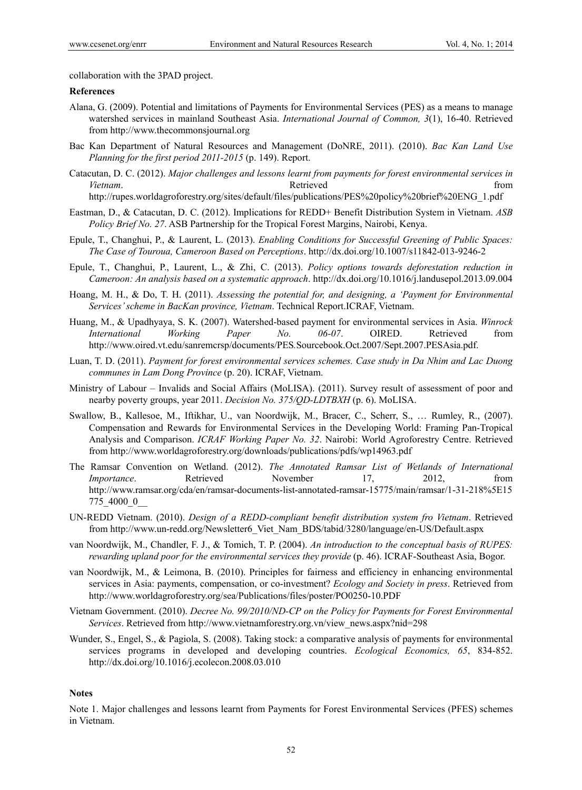collaboration with the 3PAD project.

### **References**

- Alana, G. (2009). Potential and limitations of Payments for Environmental Services (PES) as a means to manage watershed services in mainland Southeast Asia. *International Journal of Common, 3*(1), 16-40. Retrieved from http://www.thecommonsjournal.org
- Bac Kan Department of Natural Resources and Management (DoNRE, 2011). (2010). *Bac Kan Land Use Planning for the first period 2011-2015* (p. 149). Report.
- Catacutan, D. C. (2012). *Major challenges and lessons learnt from payments for forest environmental services in Vietnam*. **Retrieved Exercise 2 Retrieved** *Retrieved Retrieved Retrieved Retrieved*

http://rupes.worldagroforestry.org/sites/default/files/publications/PES%20policy%20brief%20ENG\_1.pdf

- Eastman, D., & Catacutan, D. C. (2012). Implications for REDD+ Benefit Distribution System in Vietnam. *ASB Policy Brief No. 27*. ASB Partnership for the Tropical Forest Margins, Nairobi, Kenya.
- Epule, T., Changhui, P., & Laurent, L. (2013). *Enabling Conditions for Successful Greening of Public Spaces: The Case of Touroua, Cameroon Based on Perceptions*. http://dx.doi.org/10.1007/s11842-013-9246-2
- Epule, T., Changhui, P., Laurent, L., & Zhi, C. (2013). *Policy options towards deforestation reduction in Cameroon: An analysis based on a systematic approach*. http://dx.doi.org/10.1016/j.landusepol.2013.09.004
- Hoang, M. H., & Do, T. H. (2011). *Assessing the potential for, and designing, a 'Payment for Environmental Services' scheme in BacKan province, Vietnam*. Technical Report.ICRAF, Vietnam.
- Huang, M., & Upadhyaya, S. K. (2007). Watershed-based payment for environmental services in Asia. *Winrock International Working Paper No. 06-07*. OIRED. Retrieved from http://www.oired.vt.edu/sanremcrsp/documents/PES*.*Sourcebook.Oct.2007/Sept.2007.PESAsia.pdf.
- Luan, T. D. (2011). *Payment for forest environmental services schemes. Case study in Da Nhim and Lac Duong communes in Lam Dong Province* (p. 20). ICRAF, Vietnam.
- Ministry of Labour Invalids and Social Affairs (MoLISA). (2011). Survey result of assessment of poor and nearby poverty groups, year 2011. *Decision No. 375/QD-LDTBXH* (p. 6). MoLISA.
- Swallow, B., Kallesoe, M., Iftikhar, U., van Noordwijk, M., Bracer, C., Scherr, S., … Rumley, R., (2007). Compensation and Rewards for Environmental Services in the Developing World: Framing Pan-Tropical Analysis and Comparison. *ICRAF Working Paper No. 32*. Nairobi: World Agroforestry Centre. Retrieved from http://www.worldagroforestry.org/downloads/publications/pdfs/wp14963.pdf
- The Ramsar Convention on Wetland. (2012). *The Annotated Ramsar List of Wetlands of International Importance*. Retrieved November 17, 2012, from http://www.ramsar.org/cda/en/ramsar-documents-list-annotated-ramsar-15775/main/ramsar/1-31-218%5E15 775\_4000\_0\_\_
- UN-REDD Vietnam. (2010). *Design of a REDD-compliant benefit distribution system fro Vietnam*. Retrieved from http://www.un-redd.org/Newsletter6\_Viet\_Nam\_BDS/tabid/3280/language/en-US/Default.aspx
- van Noordwijk, M., Chandler, F. J., & Tomich, T. P. (2004). *An introduction to the conceptual basis of RUPES: rewarding upland poor for the environmental services they provide* (p. 46). ICRAF-Southeast Asia, Bogor.
- van Noordwijk, M., & Leimona, B. (2010). Principles for fairness and efficiency in enhancing environmental services in Asia: payments, compensation, or co-investment? *Ecology and Society in press*. Retrieved from http://www.worldagroforestry.org/sea/Publications/files/poster/PO0250-10.PDF
- Vietnam Government. (2010). *Decree No. 99/2010/ND-CP on the Policy for Payments for Forest Environmental Services*. Retrieved from http://www.vietnamforestry.org.vn/view\_news.aspx?nid=298
- Wunder, S., Engel, S., & Pagiola, S. (2008). Taking stock: a comparative analysis of payments for environmental services programs in developed and developing countries. *Ecological Economics, 65*, 834-852. http://dx.doi.org/10.1016/j.ecolecon.2008.03.010

### **Notes**

Note 1. Major challenges and lessons learnt from Payments for Forest Environmental Services (PFES) schemes in Vietnam.